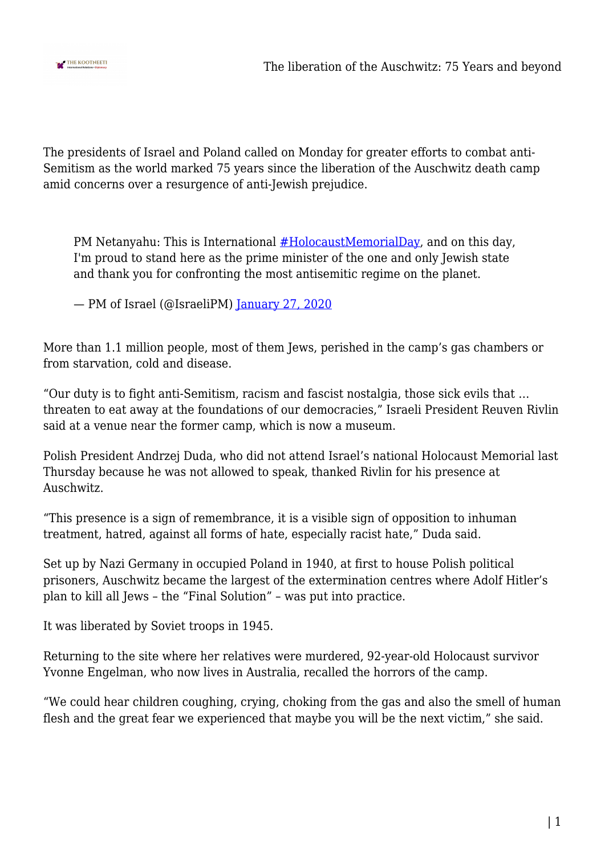

The presidents of Israel and Poland called on Monday for greater efforts to combat anti-Semitism as the world marked 75 years since the liberation of the Auschwitz death camp amid concerns over a resurgence of anti-Jewish prejudice.

PM Netanyahu: This is International [#HolocaustMemorialDay](https://twitter.com/hashtag/HolocaustMemorialDay?src=hash&ref_src=twsrc%5Etfw), and on this day, I'm proud to stand here as the prime minister of the one and only Jewish state and thank you for confronting the most antisemitic regime on the planet.

— PM of Israel (@IsraeliPM) [January 27, 2020](https://twitter.com/IsraeliPM/status/1221862148286091265?ref_src=twsrc%5Etfw)

More than 1.1 million people, most of them Jews, perished in the camp's gas chambers or from starvation, cold and disease.

"Our duty is to fight anti-Semitism, racism and fascist nostalgia, those sick evils that … threaten to eat away at the foundations of our democracies," Israeli President Reuven Rivlin said at a venue near the former camp, which is now a museum.

Polish President Andrzej Duda, who did not attend Israel's national Holocaust Memorial last Thursday because he was not allowed to speak, thanked Rivlin for his presence at Auschwitz.

"This presence is a sign of remembrance, it is a visible sign of opposition to inhuman treatment, hatred, against all forms of hate, especially racist hate," Duda said.

Set up by Nazi Germany in occupied Poland in 1940, at first to house Polish political prisoners, Auschwitz became the largest of the extermination centres where Adolf Hitler's plan to kill all Jews – the "Final Solution" – was put into practice.

It was liberated by Soviet troops in 1945.

Returning to the site where her relatives were murdered, 92-year-old Holocaust survivor Yvonne Engelman, who now lives in Australia, recalled the horrors of the camp.

"We could hear children coughing, crying, choking from the gas and also the smell of human flesh and the great fear we experienced that maybe you will be the next victim," she said.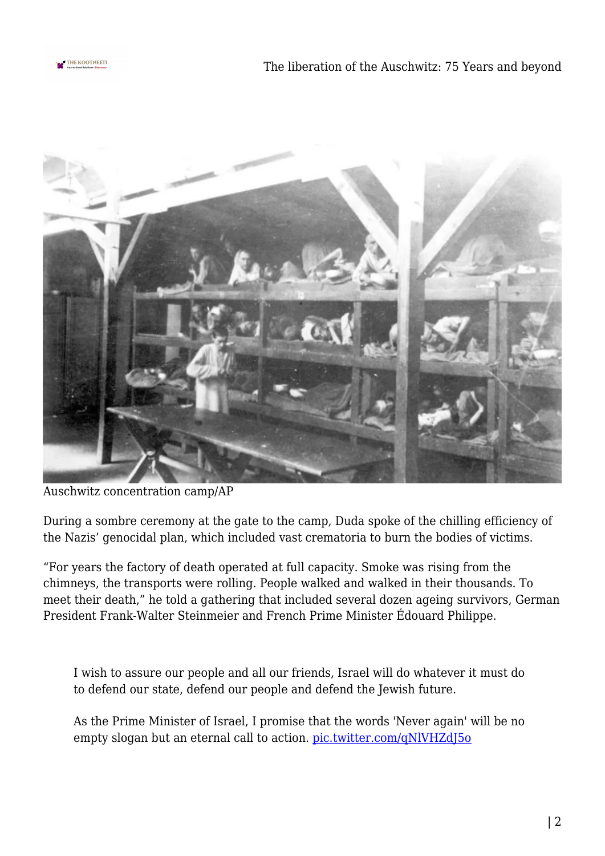



Auschwitz concentration camp/AP

During a sombre ceremony at the gate to the camp, Duda spoke of the chilling efficiency of the Nazis' genocidal plan, which included vast crematoria to burn the bodies of victims.

"For years the factory of death operated at full capacity. Smoke was rising from the chimneys, the transports were rolling. People walked and walked in their thousands. To meet their death," he told a gathering that included several dozen ageing survivors, German President Frank-Walter Steinmeier and French Prime Minister Édouard Philippe.

I wish to assure our people and all our friends, Israel will do whatever it must do to defend our state, defend our people and defend the Jewish future.

As the Prime Minister of Israel, I promise that the words 'Never again' will be no empty slogan but an eternal call to action. [pic.twitter.com/qNlVHZdJ5o](https://t.co/qNlVHZdJ5o)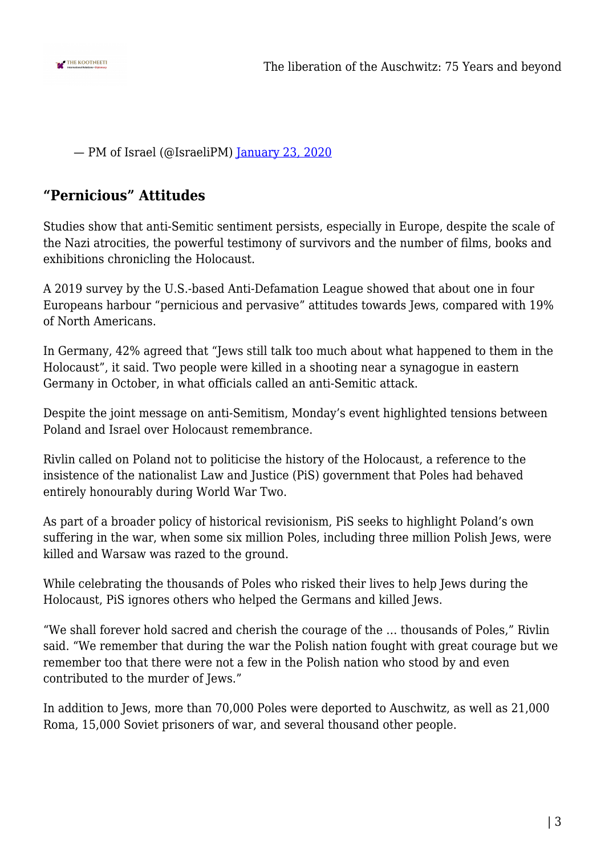

— PM of Israel (@IsraeliPM) [January 23, 2020](https://twitter.com/IsraeliPM/status/1220380299483402241?ref_src=twsrc%5Etfw)

## **"Pernicious" Attitudes**

Studies show that anti-Semitic sentiment persists, especially in Europe, despite the scale of the Nazi atrocities, the powerful testimony of survivors and the number of films, books and exhibitions chronicling the Holocaust.

A 2019 survey by the U.S.-based Anti-Defamation League showed that about one in four Europeans harbour "pernicious and pervasive" attitudes towards Jews, compared with 19% of North Americans.

In Germany, 42% agreed that "Jews still talk too much about what happened to them in the Holocaust", it said. Two people were killed in a shooting near a synagogue in eastern Germany in October, in what officials called an anti-Semitic attack.

Despite the joint message on anti-Semitism, Monday's event highlighted tensions between Poland and Israel over Holocaust remembrance.

Rivlin called on Poland not to politicise the history of the Holocaust, a reference to the insistence of the nationalist Law and Justice (PiS) government that Poles had behaved entirely honourably during World War Two.

As part of a broader policy of historical revisionism, PiS seeks to highlight Poland's own suffering in the war, when some six million Poles, including three million Polish Jews, were killed and Warsaw was razed to the ground.

While celebrating the thousands of Poles who risked their lives to help Jews during the Holocaust, PiS ignores others who helped the Germans and killed Jews.

"We shall forever hold sacred and cherish the courage of the … thousands of Poles," Rivlin said. "We remember that during the war the Polish nation fought with great courage but we remember too that there were not a few in the Polish nation who stood by and even contributed to the murder of Jews."

In addition to Jews, more than 70,000 Poles were deported to Auschwitz, as well as 21,000 Roma, 15,000 Soviet prisoners of war, and several thousand other people.